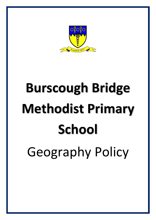

# **Burscough Bridge Methodist Primary School** Geography Policy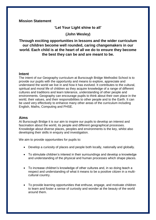# **Mission Statement**

**'Let Your Light shine to all'** 

**(John Wesley)**

# **Through exciting opportunities in lessons and the wider curriculum our children become well rounded, caring changemakers in our world. Each child is at the heart of all we do to ensure they become the best they can be and are meant to be.**

# **Intent**

The intent of our Geography curriculum at Burscough Bridge Methodist School is to provide our pupils with the opportunity and means to explore, appreciate and understand the world we live in and how it has evolved. It contributes to the cultural, spiritual and moral life of children as they acquire knowledge of a range of different cultures and traditions and learn tolerance, understanding of other people and environments. Geography can encourage pupils to think about their own place in the world, their values, and their responsibilities to other people and to the Earth. It can be used very effectively to enhance many other areas of the curriculum including English, Maths, Computing and PHSE.

# **Aims**

At Burscough Bridge it is our aim to inspire our pupils to develop an interest and fascination about the world, its people and different geographical processes. Knowledge about diverse places, peoples and environments is the key, whilst also developing their skills in enquiry and investigation.

We aim to provide opportunities for pupils to:

- Develop a curiosity of places and people both locally, nationally and globally.
- To stimulate children's interest in their surroundings and develop a knowledge and understanding of the physical and human processes which shape places.
- To increase children's knowledge of other cultures and, in so doing teach a respect and understanding of what it means to be a positive citizen in a multicultural country.
- To provide learning opportunities that enthuse, engage, and motivate children to learn and foster a sense of curiosity and wonder at the beauty of the world around them.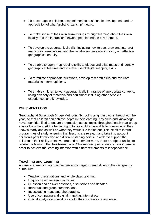- To encourage in children a commitment to sustainable development and an appreciation of what 'global citizenship' means.
- To make sense of their own surroundings through learning about their own locality and the interaction between people and the environment.
- To develop the geographical skills, including how to use, draw and interpret maps of different scales, and the vocabulary necessary to carry out effective geographical enquiry.
- To be able to apply map reading skills to globes and atlas maps and identify geographical features and to make use of digital mapping skills.
- To formulate appropriate questions, develop research skills and evaluate material to inform opinions.
- To enable children to work geographically in a range of appropriate contexts, using a variety of materials and equipment including other people's experiences and knowledge.

### **IMPLEMENTATION**

Geography at Burscough Bridge Methodist School is taught in blocks throughout the year, so that children can achieve depth in their learning. Key skills and knowledge have been identified to ensure progression across topics throughout each year group across the school. At the beginning of topics children are able to convey what they know already and as well as what they would like to find out. This helps to inform programmes of study, ensuring that lessons are relevant and take into account children's prior knowledge and different starting points. In order to support the children in their ability to know more and remember more, there are opportunities to review the learning that has taken place. Children are given clear success criteria in order to achieve the learning intention with different elements of independence.

# **Teaching and Learning**

A variety of teaching approaches are encouraged when delivering the Geography curriculum:

- Teacher presentations and whole class teaching.
- Enquiry based research activities.
- Question and answer sessions, discussions and debates.
- Individual and group presentations.
- Investigating maps and photographs.
- Use of computing and digital mapping, internet etc
- Critical analysis and evaluation of different sources of evidence.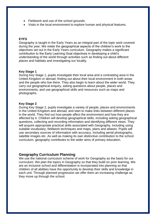- Fieldwork and use of the school grounds.
- Visits in the local environment to explore human and physical features.

#### **EYFS**

Geography is taught in the Early Years as an integral part of the topic work covered during the year. We relate the geographical aspects of the children's work to the objectives set out in the Early Years curriculum. Geography makes a significant contribution to the Early Learning Goal objectives in developing a child's understanding of the world through activities such as finding out about different places and habitats and investigating our locality.

#### **Key Stage 1**

During Key Stage 1, pupils investigate their local area and a contrasting area in the United Kingdom or abroad, finding out about their local environment in both areas and the people who live there. They also begin to learn about the wider world. They carry out geographical enquiry, asking questions about people, places and environments, and use geographical skills and resources such as maps and photographs.

#### **Key Stage 2**

During Key Stage 2, pupils investigate a variety of people, places and environments in the United Kingdom and abroad, and start to make links between different places in the world. They find out how people affect the environment and how they are affected by it. Children will develop geographical skills, including asking geographical questions, collecting and recording information and identifying different views. They will acquire appropriate practical skills associated with Geography, including using suitable vocabulary, fieldwork techniques and maps, plans and atlases. Pupils will use secondary sources of information with accuracy, including aerial photographs, satellite images etc. As well as making its own distinctive contribution to the school curriculum, geography contributes to the wider aims of primary education.

## **Geography Curriculum Planning**

We use the national curriculum scheme of work for Geography as the basis for our curriculum. We plan the topics in Geography so that they build on prior learning. We are an inclusive school and differentiation is incorporated into planning so that children of all abilities have the opportunity to develop their skills and knowledge in each unit. Through planned progression we offer them an increasing challenge as they move up through the school.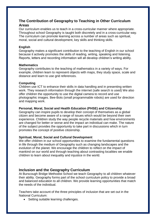# **The Contribution of Geography to Teaching in Other Curriculum Areas**

Our curriculum enables us to teach in a cross-curricular manner where appropriate. Throughout school Geography is taught both discretely and in a cross-curricular way. The curriculum can promote learning across a number of areas such as spiritual, moral, social and cultural development, key skills and thinking skills.

## **English**

Geography makes a significant contribution to the teaching of English in our school because it actively promotes the skills of reading, writing, speaking and listening. Reports, letters and recording information will all develop children's writing ability.

#### **Mathematics**

Geography contributes to the teaching of mathematics in a variety of ways. For example, children learn to represent objects with maps, they study space, scale and distance and learn to use grid references.

## **Computing**

Children use ICT to enhance their skills in data handling and in presenting written work. They research information through the internet (safe search is used) We also offer children the opportunity to use the digital camera to record and use photographic images. Bee-Bots (small programmable robots) are used for direction and mapping work.

## **Personal, Moral, Social and Health Education (PHSE) and Citizenship**

Geography can inspire pupils to develop their concept of themselves as a global citizen and become aware of a range of issues which would be beyond their own experience. Children study the way people recycle materials and how environments are changed for better or worse and the impact an individual can make. The nature of the subject provides the opportunity to take part in discussions which in turn promotes the concept of positive citizenship.

## **Spiritual, Moral, Social and Cultural Development**

We offer children in our school opportunities to examine the fundamental questions in life through the medium of Geography such as changing landscapes and the evolution of the planet. We encourage the children to reflect on the impact of mankind on our world and through teaching about contrasting localities we enable children to learn about inequality and injustice in the world.

# **Inclusion and the Geography Curriculum**

At Burscough Bridge Methodist School we teach Geography to all children whatever their ability. Geography forms part of the school curriculum policy to provide a broad and balanced education to all children. We provide learning opportunities that match the needs of the individual.

Teachers take account of the three principles of inclusion that are set out in the National Curriculum:

• Setting suitable learning challenges.